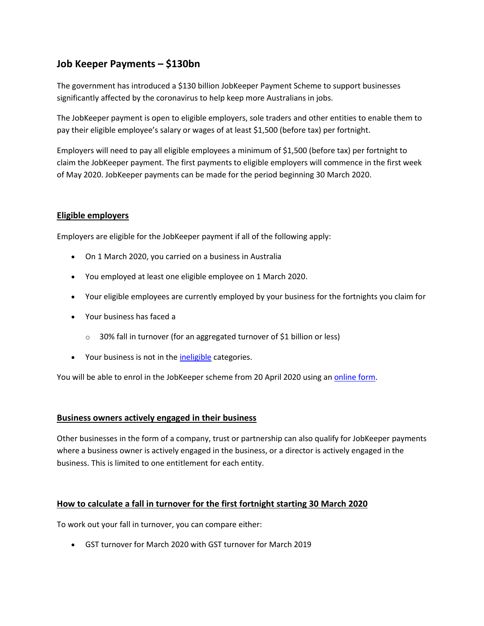# **Job Keeper Payments – \$130bn**

The government has introduced a \$130 billion JobKeeper Payment Scheme to support businesses significantly affected by the coronavirus to help keep more Australians in jobs.

The JobKeeper payment is open to eligible employers, sole traders and other entities to enable them to pay their eligible employee's salary or wages of at least \$1,500 (before tax) per fortnight.

Employers will need to pay all eligible employees a minimum of \$1,500 (before tax) per fortnight to claim the JobKeeper payment. The first payments to eligible employers will commence in the first week of May 2020. JobKeeper payments can be made for the period beginning 30 March 2020.

## **Eligible employers**

Employers are eligible for the JobKeeper payment if all of the following apply:

- On 1 March 2020, you carried on a business in Australia
- You employed at least one eligible employee on 1 March 2020.
- Your eligible employees are currently employed by your business for the fortnights you claim for
- Your business has faced a
	- o 30% fall in turnover (for an aggregated turnover of \$1 billion or less)
- Your business is not in the *ineligible* categories.

You will be able to enrol in the JobKeeper scheme from 20 April 2020 using an [online form.](https://www.ato.gov.au/general/jobkeeper-payment/employers/enrol-for-the-jobkeeper-payment/)

#### **Business owners actively engaged in their business**

Other businesses in the form of a company, trust or partnership can also qualify for JobKeeper payments where a business owner is actively engaged in the business, or a director is actively engaged in the business. This is limited to one entitlement for each entity.

## **How to calculate a fall in turnover for the first fortnight starting 30 March 2020**

To work out your fall in turnover, you can compare either:

GST turnover for March 2020 with GST turnover for March 2019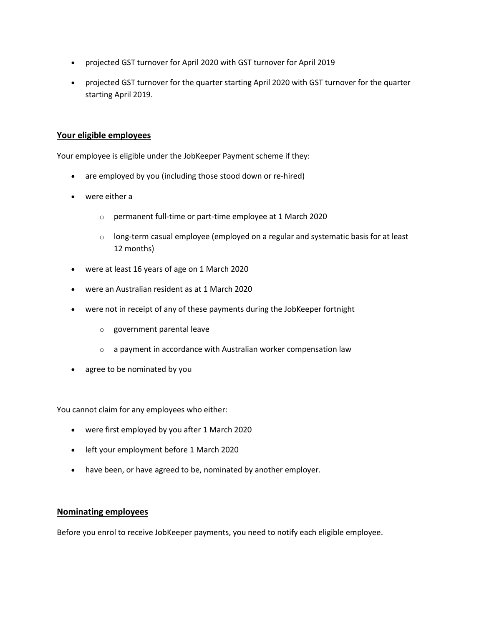- projected GST turnover for April 2020 with GST turnover for April 2019
- projected GST turnover for the quarter starting April 2020 with GST turnover for the quarter starting April 2019.

#### **Your eligible employees**

Your employee is eligible under the JobKeeper Payment scheme if they:

- are employed by you (including those stood down or re-hired)
- were either a
	- o permanent full-time or part-time employee at 1 March 2020
	- $\circ$  long-term casual employee (employed on a regular and systematic basis for at least 12 months)
- were at least 16 years of age on 1 March 2020
- were an Australian resident as at 1 March 2020
- were not in receipt of any of these payments during the JobKeeper fortnight
	- o government parental leave
	- o a payment in accordance with Australian worker compensation law
- agree to be nominated by you

You cannot claim for any employees who either:

- were first employed by you after 1 March 2020
- left your employment before 1 March 2020
- have been, or have agreed to be, nominated by another employer.

#### **Nominating employees**

Before you enrol to receive JobKeeper payments, you need to notify each eligible employee.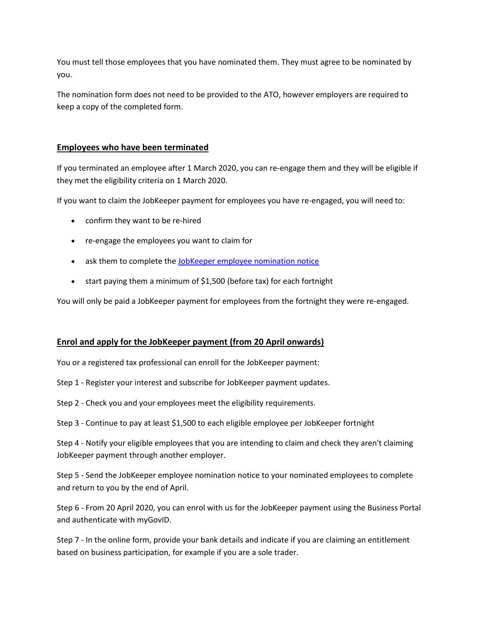You must tell those employees that you have nominated them. They must agree to be nominated by you.

The nomination form does not need to be provided to the ATO, however employers are required to keep a copy of the completed form.

## **Employees who have been terminated**

If you terminated an employee after 1 March 2020, you can re-engage them and they will be eligible if they met the eligibility criteria on 1 March 2020.

If you want to claim the JobKeeper payment for employees you have re-engaged, you will need to:

- confirm they want to be re-hired
- re-engage the employees you want to claim for
- ask them to complete the [JobKeeper employee nomination notice](https://www.ato.gov.au/Forms/JobKeeper-payment---employee-nomination-notice/)
- start paying them a minimum of \$1,500 (before tax) for each fortnight

You will only be paid a JobKeeper payment for employees from the fortnight they were re-engaged.

#### **Enrol and apply for the JobKeeper payment (from 20 April onwards)**

You or a registered tax professional can enroll for the JobKeeper payment:

- Step 1 Register your interest and subscribe for JobKeeper payment updates.
- Step 2 Check you and your employees meet the eligibility requirements.
- Step 3 Continue to pay at least \$1,500 to each eligible employee per JobKeeper fortnight

Step 4 - Notify your eligible employees that you are intending to claim and check they aren't claiming JobKeeper payment through another employer.

Step 5 - Send the JobKeeper employee nomination notice to your nominated employees to complete and return to you by the end of April.

Step 6 - From 20 April 2020, you can enrol with us for the JobKeeper payment using the Business Portal and authenticate with myGovID.

Step 7 - In the online form, provide your bank details and indicate if you are claiming an entitlement based on business participation, for example if you are a sole trader.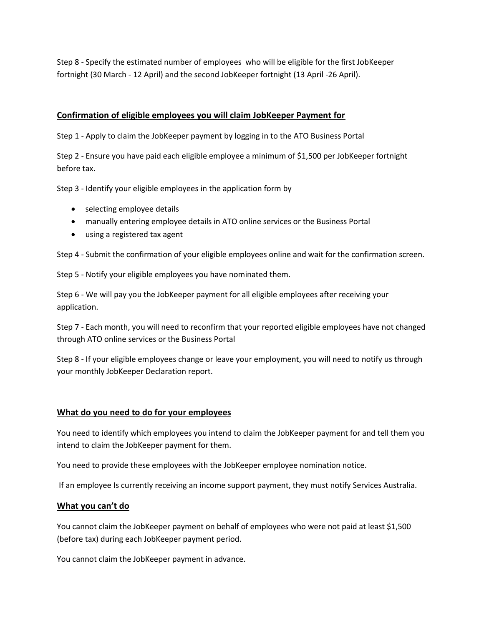Step 8 - Specify the estimated number of employees who will be eligible for the first JobKeeper fortnight (30 March - 12 April) and the second JobKeeper fortnight (13 April -26 April).

## **Confirmation of eligible employees you will claim JobKeeper Payment for**

Step 1 - Apply to claim the JobKeeper payment by logging in to the ATO Business Portal

Step 2 - Ensure you have paid each eligible employee a minimum of \$1,500 per JobKeeper fortnight before tax.

Step 3 - Identify your eligible employees in the application form by

- selecting employee details
- manually entering employee details in ATO online services or the Business Portal
- using a registered tax agent

Step 4 - Submit the confirmation of your eligible employees online and wait for the confirmation screen.

Step 5 - Notify your eligible employees you have nominated them.

Step 6 - We will pay you the JobKeeper payment for all eligible employees after receiving your application.

Step 7 - Each month, you will need to reconfirm that your reported eligible employees have not changed through ATO online services or the Business Portal

Step 8 - If your eligible employees change or leave your employment, you will need to notify us through your monthly JobKeeper Declaration report.

#### **What do you need to do for your employees**

You need to identify which employees you intend to claim the JobKeeper payment for and tell them you intend to claim the JobKeeper payment for them.

You need to provide these employees with the JobKeeper employee nomination notice.

If an employee Is currently receiving an income support payment, they must notify Services Australia.

#### **What you can't do**

You cannot claim the JobKeeper payment on behalf of employees who were not paid at least \$1,500 (before tax) during each JobKeeper payment period.

You cannot claim the JobKeeper payment in advance.